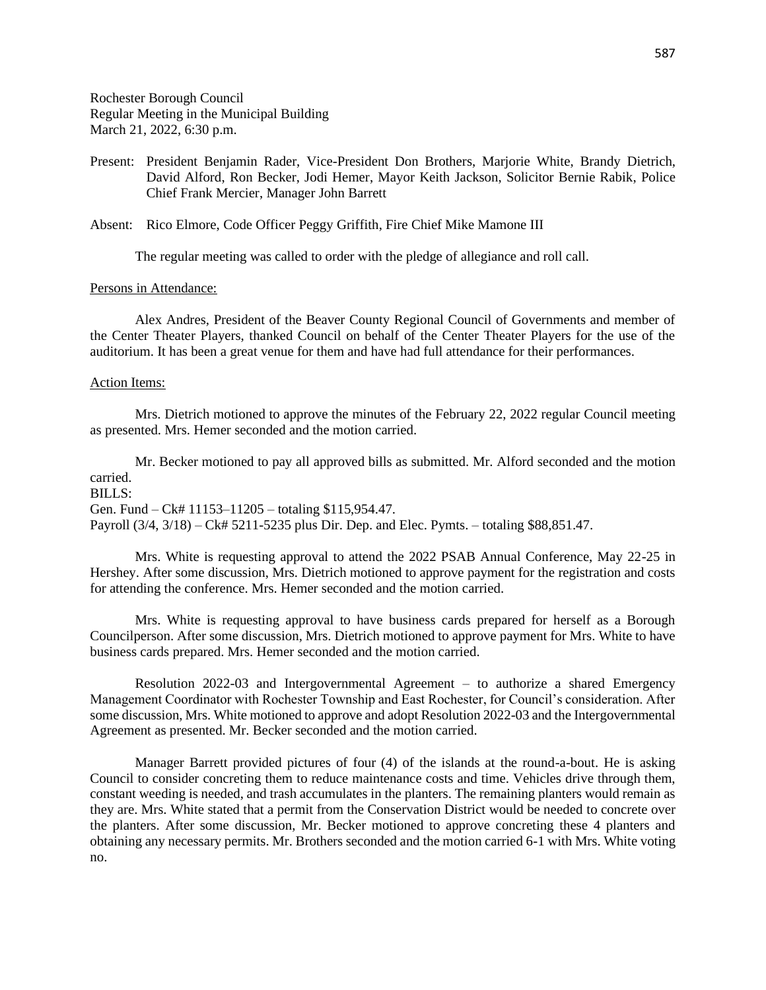Rochester Borough Council Regular Meeting in the Municipal Building March 21, 2022, 6:30 p.m.

Present: President Benjamin Rader, Vice-President Don Brothers, Marjorie White, Brandy Dietrich, David Alford, Ron Becker, Jodi Hemer, Mayor Keith Jackson, Solicitor Bernie Rabik, Police Chief Frank Mercier, Manager John Barrett

Absent: Rico Elmore, Code Officer Peggy Griffith, Fire Chief Mike Mamone III

The regular meeting was called to order with the pledge of allegiance and roll call.

## Persons in Attendance:

Alex Andres, President of the Beaver County Regional Council of Governments and member of the Center Theater Players, thanked Council on behalf of the Center Theater Players for the use of the auditorium. It has been a great venue for them and have had full attendance for their performances.

#### Action Items:

Mrs. Dietrich motioned to approve the minutes of the February 22, 2022 regular Council meeting as presented. Mrs. Hemer seconded and the motion carried.

Mr. Becker motioned to pay all approved bills as submitted. Mr. Alford seconded and the motion carried.  $BII.S<sup>2</sup>$ 

Gen. Fund – Ck# 11153–11205 – totaling \$115,954.47.

Payroll (3/4, 3/18) – Ck# 5211-5235 plus Dir. Dep. and Elec. Pymts. – totaling \$88,851.47.

Mrs. White is requesting approval to attend the 2022 PSAB Annual Conference, May 22-25 in Hershey. After some discussion, Mrs. Dietrich motioned to approve payment for the registration and costs for attending the conference. Mrs. Hemer seconded and the motion carried.

Mrs. White is requesting approval to have business cards prepared for herself as a Borough Councilperson. After some discussion, Mrs. Dietrich motioned to approve payment for Mrs. White to have business cards prepared. Mrs. Hemer seconded and the motion carried.

Resolution 2022-03 and Intergovernmental Agreement – to authorize a shared Emergency Management Coordinator with Rochester Township and East Rochester, for Council's consideration. After some discussion, Mrs. White motioned to approve and adopt Resolution 2022-03 and the Intergovernmental Agreement as presented. Mr. Becker seconded and the motion carried.

Manager Barrett provided pictures of four (4) of the islands at the round-a-bout. He is asking Council to consider concreting them to reduce maintenance costs and time. Vehicles drive through them, constant weeding is needed, and trash accumulates in the planters. The remaining planters would remain as they are. Mrs. White stated that a permit from the Conservation District would be needed to concrete over the planters. After some discussion, Mr. Becker motioned to approve concreting these 4 planters and obtaining any necessary permits. Mr. Brothers seconded and the motion carried 6-1 with Mrs. White voting no.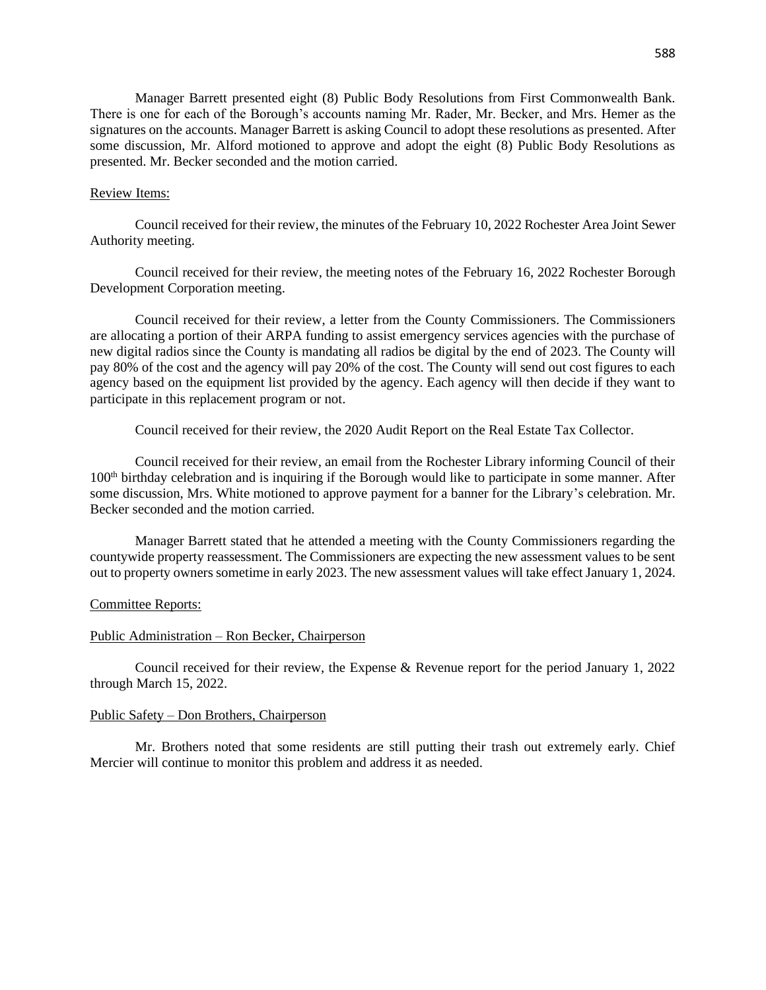Manager Barrett presented eight (8) Public Body Resolutions from First Commonwealth Bank. There is one for each of the Borough's accounts naming Mr. Rader, Mr. Becker, and Mrs. Hemer as the signatures on the accounts. Manager Barrett is asking Council to adopt these resolutions as presented. After some discussion, Mr. Alford motioned to approve and adopt the eight (8) Public Body Resolutions as presented. Mr. Becker seconded and the motion carried.

#### Review Items:

Council received for their review, the minutes of the February 10, 2022 Rochester Area Joint Sewer Authority meeting.

Council received for their review, the meeting notes of the February 16, 2022 Rochester Borough Development Corporation meeting.

Council received for their review, a letter from the County Commissioners. The Commissioners are allocating a portion of their ARPA funding to assist emergency services agencies with the purchase of new digital radios since the County is mandating all radios be digital by the end of 2023. The County will pay 80% of the cost and the agency will pay 20% of the cost. The County will send out cost figures to each agency based on the equipment list provided by the agency. Each agency will then decide if they want to participate in this replacement program or not.

Council received for their review, the 2020 Audit Report on the Real Estate Tax Collector.

Council received for their review, an email from the Rochester Library informing Council of their 100th birthday celebration and is inquiring if the Borough would like to participate in some manner. After some discussion, Mrs. White motioned to approve payment for a banner for the Library's celebration. Mr. Becker seconded and the motion carried.

Manager Barrett stated that he attended a meeting with the County Commissioners regarding the countywide property reassessment. The Commissioners are expecting the new assessment values to be sent out to property owners sometime in early 2023. The new assessment values will take effect January 1, 2024.

## Committee Reports:

## Public Administration – Ron Becker, Chairperson

Council received for their review, the Expense & Revenue report for the period January 1, 2022 through March 15, 2022.

## Public Safety – Don Brothers, Chairperson

Mr. Brothers noted that some residents are still putting their trash out extremely early. Chief Mercier will continue to monitor this problem and address it as needed.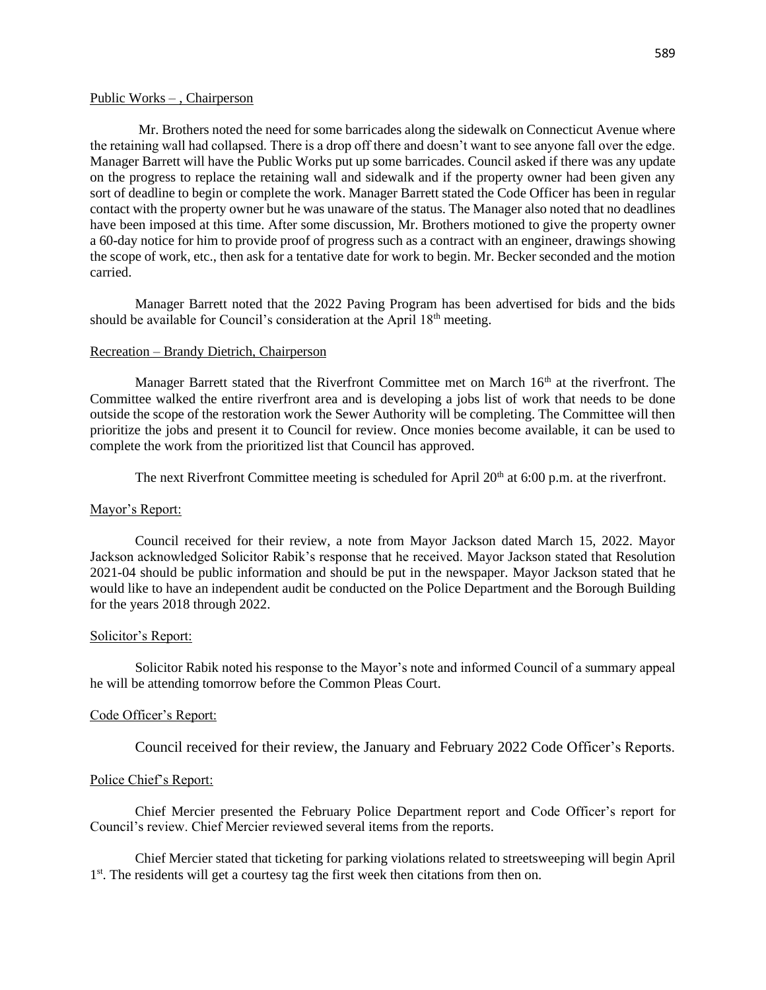## Public Works – , Chairperson

Mr. Brothers noted the need for some barricades along the sidewalk on Connecticut Avenue where the retaining wall had collapsed. There is a drop off there and doesn't want to see anyone fall over the edge. Manager Barrett will have the Public Works put up some barricades. Council asked if there was any update on the progress to replace the retaining wall and sidewalk and if the property owner had been given any sort of deadline to begin or complete the work. Manager Barrett stated the Code Officer has been in regular contact with the property owner but he was unaware of the status. The Manager also noted that no deadlines have been imposed at this time. After some discussion, Mr. Brothers motioned to give the property owner a 60-day notice for him to provide proof of progress such as a contract with an engineer, drawings showing the scope of work, etc., then ask for a tentative date for work to begin. Mr. Becker seconded and the motion carried.

Manager Barrett noted that the 2022 Paving Program has been advertised for bids and the bids should be available for Council's consideration at the April 18<sup>th</sup> meeting.

## Recreation – Brandy Dietrich, Chairperson

Manager Barrett stated that the Riverfront Committee met on March 16<sup>th</sup> at the riverfront. The Committee walked the entire riverfront area and is developing a jobs list of work that needs to be done outside the scope of the restoration work the Sewer Authority will be completing. The Committee will then prioritize the jobs and present it to Council for review. Once monies become available, it can be used to complete the work from the prioritized list that Council has approved.

The next Riverfront Committee meeting is scheduled for April  $20<sup>th</sup>$  at 6:00 p.m. at the riverfront.

## Mayor's Report:

Council received for their review, a note from Mayor Jackson dated March 15, 2022. Mayor Jackson acknowledged Solicitor Rabik's response that he received. Mayor Jackson stated that Resolution 2021-04 should be public information and should be put in the newspaper. Mayor Jackson stated that he would like to have an independent audit be conducted on the Police Department and the Borough Building for the years 2018 through 2022.

#### Solicitor's Report:

Solicitor Rabik noted his response to the Mayor's note and informed Council of a summary appeal he will be attending tomorrow before the Common Pleas Court.

## Code Officer's Report:

Council received for their review, the January and February 2022 Code Officer's Reports.

## Police Chief's Report:

Chief Mercier presented the February Police Department report and Code Officer's report for Council's review. Chief Mercier reviewed several items from the reports.

Chief Mercier stated that ticketing for parking violations related to streetsweeping will begin April 1<sup>st</sup>. The residents will get a courtesy tag the first week then citations from then on.